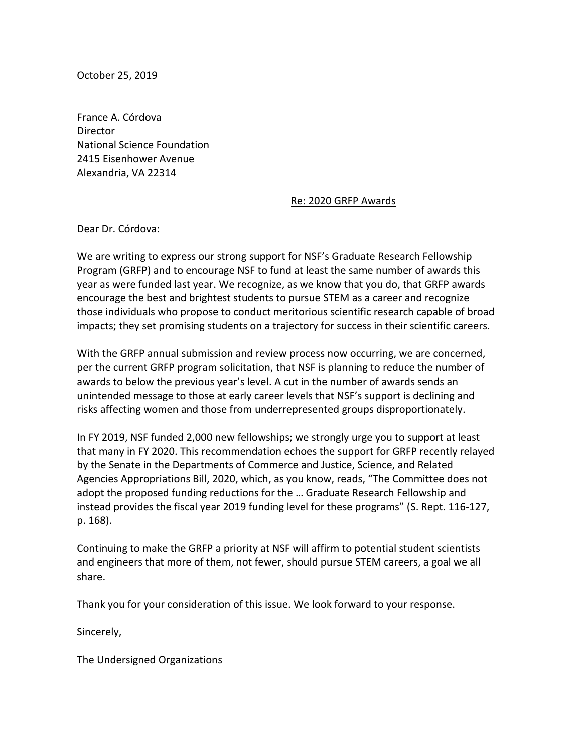October 25, 2019

France A. Córdova **Director** National Science Foundation 2415 Eisenhower Avenue Alexandria, VA 22314

## Re: 2020 GRFP Awards

Dear Dr. Córdova:

We are writing to express our strong support for NSF's Graduate Research Fellowship Program (GRFP) and to encourage NSF to fund at least the same number of awards this year as were funded last year. We recognize, as we know that you do, that GRFP awards encourage the best and brightest students to pursue STEM as a career and recognize those individuals who propose to conduct meritorious scientific research capable of broad impacts; they set promising students on a trajectory for success in their scientific careers.

With the GRFP annual submission and review process now occurring, we are concerned, per the current GRFP program solicitation, that NSF is planning to reduce the number of awards to below the previous year's level. A cut in the number of awards sends an unintended message to those at early career levels that NSF's support is declining and risks affecting women and those from underrepresented groups disproportionately.

In FY 2019, NSF funded 2,000 new fellowships; we strongly urge you to support at least that many in FY 2020. This recommendation echoes the support for GRFP recently relayed by the Senate in the Departments of Commerce and Justice, Science, and Related Agencies Appropriations Bill, 2020, which, as you know, reads, "The Committee does not adopt the proposed funding reductions for the … Graduate Research Fellowship and instead provides the fiscal year 2019 funding level for these programs" (S. Rept. 116-127, p. 168).

Continuing to make the GRFP a priority at NSF will affirm to potential student scientists and engineers that more of them, not fewer, should pursue STEM careers, a goal we all share.

Thank you for your consideration of this issue. We look forward to your response.

Sincerely,

The Undersigned Organizations